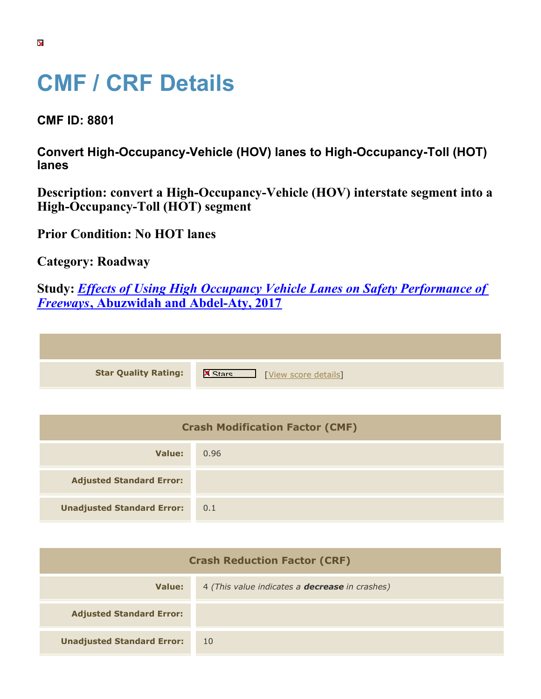## **CMF / CRF Details**

**CMF ID: 8801**

**Convert High-Occupancy-Vehicle (HOV) lanes to High-Occupancy-Toll (HOT) lanes**

**Description: convert a High-Occupancy-Vehicle (HOV) interstate segment into a High-Occupancy-Toll (HOT) segment**

**Prior Condition: No HOT lanes**

**Category: Roadway**

**Study:** *[Effects of Using High Occupancy Vehicle Lanes on Safety Performance of](https://cmfclearinghouse.org/study_detail.cfm?stid=491) [Freeways](https://cmfclearinghouse.org/study_detail.cfm?stid=491)***[, Abuzwidah and Abdel-Aty, 2017](https://cmfclearinghouse.org/study_detail.cfm?stid=491)**

| <b>Star Quality Rating:</b> | <b>X</b><br>[View score details] |
|-----------------------------|----------------------------------|
|                             |                                  |

| <b>Crash Modification Factor (CMF)</b> |      |  |
|----------------------------------------|------|--|
| Value:                                 | 0.96 |  |
| <b>Adjusted Standard Error:</b>        |      |  |
| <b>Unadjusted Standard Error:</b>      | 0.1  |  |

| <b>Crash Reduction Factor (CRF)</b> |                                                       |  |
|-------------------------------------|-------------------------------------------------------|--|
| Value:                              | 4 (This value indicates a <b>decrease</b> in crashes) |  |
| <b>Adjusted Standard Error:</b>     |                                                       |  |
| <b>Unadjusted Standard Error:</b>   | 10                                                    |  |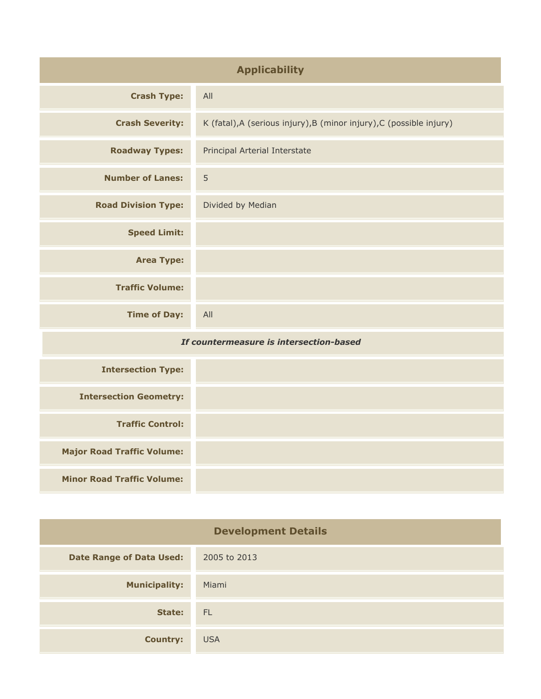| <b>Applicability</b>                    |                                                                      |
|-----------------------------------------|----------------------------------------------------------------------|
| <b>Crash Type:</b>                      | All                                                                  |
| <b>Crash Severity:</b>                  | K (fatal), A (serious injury), B (minor injury), C (possible injury) |
| <b>Roadway Types:</b>                   | Principal Arterial Interstate                                        |
| <b>Number of Lanes:</b>                 | 5                                                                    |
| <b>Road Division Type:</b>              | Divided by Median                                                    |
| <b>Speed Limit:</b>                     |                                                                      |
| <b>Area Type:</b>                       |                                                                      |
| <b>Traffic Volume:</b>                  |                                                                      |
| <b>Time of Day:</b>                     | All                                                                  |
| If countermeasure is intersection-based |                                                                      |
| <b>Intersection Type:</b>               |                                                                      |
| <b>Intersection Geometry:</b>           |                                                                      |
| <b>Traffic Control:</b>                 |                                                                      |
| <b>Major Road Traffic Volume:</b>       |                                                                      |
| <b>Minor Road Traffic Volume:</b>       |                                                                      |

| <b>Development Details</b>      |              |  |
|---------------------------------|--------------|--|
| <b>Date Range of Data Used:</b> | 2005 to 2013 |  |
| <b>Municipality:</b>            | Miami        |  |
| State:                          | - FL         |  |
| <b>Country:</b>                 | <b>USA</b>   |  |